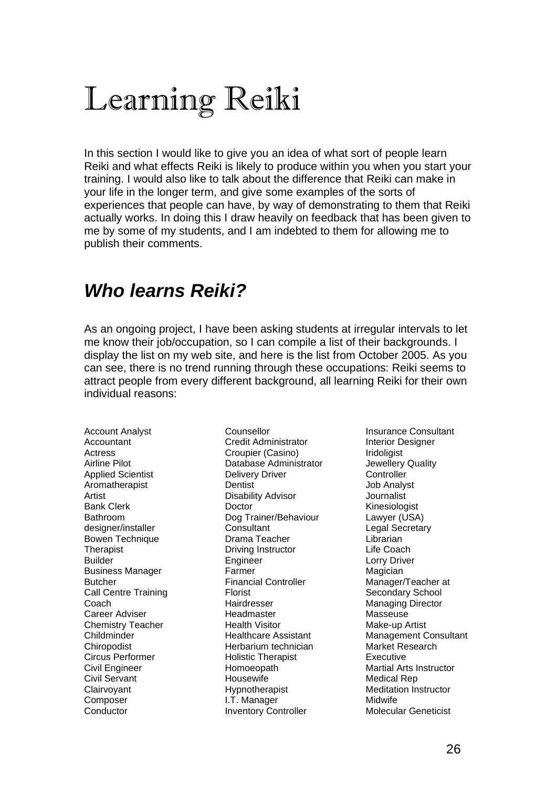# Learning Reiki

In this section I would like to give you an idea of what sort of people learn Reiki and what effects Reiki is likely to produce within you when you start your training. I would also like to talk about the difference that Reiki can make in your life in the longer term, and give some examples of the sorts of experiences that people can have, by way of demonstrating to them that Reiki actually works. In doing this I draw heavily on feedback that has been given to me by some of my students, and I am indebted to them for allowing me to publish their comments.

### *Who learns Reiki?*

As an ongoing project, I have been asking students at irregular intervals to let me know their job/occupation, so I can compile a list of their backgrounds. I display the list on my web site, and here is the list from October 2005. As you can see, there is no trend running through these occupations: Reiki seems to attract people from every different background, all learning Reiki for their own individual reasons:

Account Analyst Accountant Actress Airline Pilot Applied Scientist Aromatherapist Artist Bank Clerk Bathroom designer/installer Bowen Technique **Therapist** Builder Business Manager Butcher Call Centre Training Coach Career Adviser Chemistry Teacher **Childminder** Chiropodist Circus Performer Civil Engineer Civil Servant Clairvoyant Composer **Conductor** 

Counsellor Credit Administrator Croupier (Casino) Database Administrator Delivery Driver **Dentist** Disability Advisor Doctor Dog Trainer/Behaviour **Consultant** Drama Teacher Driving Instructor Engineer Farmer Financial Controller Florist **Hairdresser** Headmaster Health Visitor Healthcare Assistant Herbarium technician Holistic Therapist Homoeopath Housewife Hypnotherapist I.T. Manager Inventory Controller

Insurance Consultant Interior Designer Iridoligist Jewellery Quality **Controller** Job Analyst Journalist Kinesiologist Lawyer (USA) Legal Secretary Librarian Life Coach Lorry Driver Magician Manager/Teacher at Secondary School Managing Director Masseuse Make-up Artist Management Consultant Market Research Executive Martial Arts Instructor Medical Rep Meditation Instructor Midwife Molecular Geneticist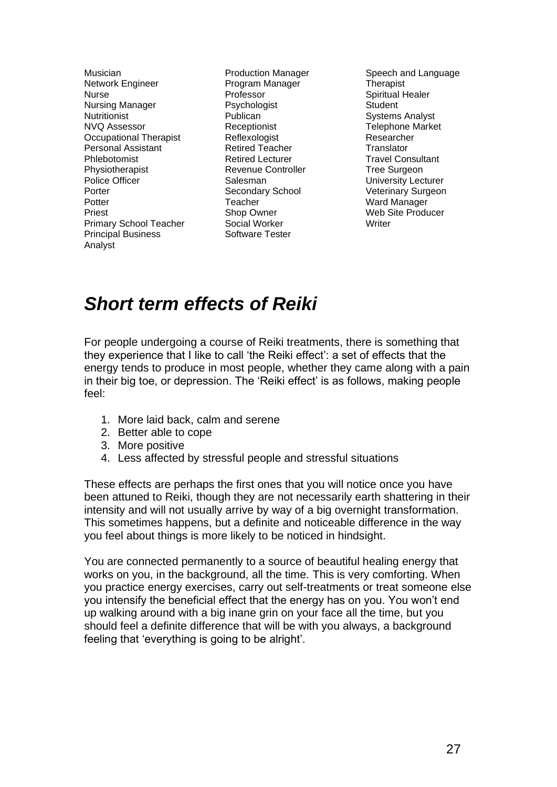Musician Network Engineer Nurse Nursing Manager **Nutritionist** NVQ Assessor Occupational Therapist Personal Assistant Phlebotomist Physiotherapist Police Officer Porter **Potter** Priest Primary School Teacher Principal Business Analyst

Production Manager Program Manager Professor Psychologist Publican Receptionist Reflexologist Retired Teacher Retired Lecturer Revenue Controller Salesman Secondary School Teacher Shop Owner Social Worker Software Tester

Speech and Language **Therapist** Spiritual Healer **Student** Systems Analyst Telephone Market Researcher **Translator** Travel Consultant Tree Surgeon University Lecturer Veterinary Surgeon Ward Manager Web Site Producer Writer

### *Short term effects of Reiki*

For people undergoing a course of Reiki treatments, there is something that they experience that I like to call 'the Reiki effect': a set of effects that the energy tends to produce in most people, whether they came along with a pain in their big toe, or depression. The 'Reiki effect' is as follows, making people feel:

- 1. More laid back, calm and serene
- 2. Better able to cope
- 3. More positive
- 4. Less affected by stressful people and stressful situations

These effects are perhaps the first ones that you will notice once you have been attuned to Reiki, though they are not necessarily earth shattering in their intensity and will not usually arrive by way of a big overnight transformation. This sometimes happens, but a definite and noticeable difference in the way you feel about things is more likely to be noticed in hindsight.

You are connected permanently to a source of beautiful healing energy that works on you, in the background, all the time. This is very comforting. When you practice energy exercises, carry out self-treatments or treat someone else you intensify the beneficial effect that the energy has on you. You won't end up walking around with a big inane grin on your face all the time, but you should feel a definite difference that will be with you always, a background feeling that 'everything is going to be alright'.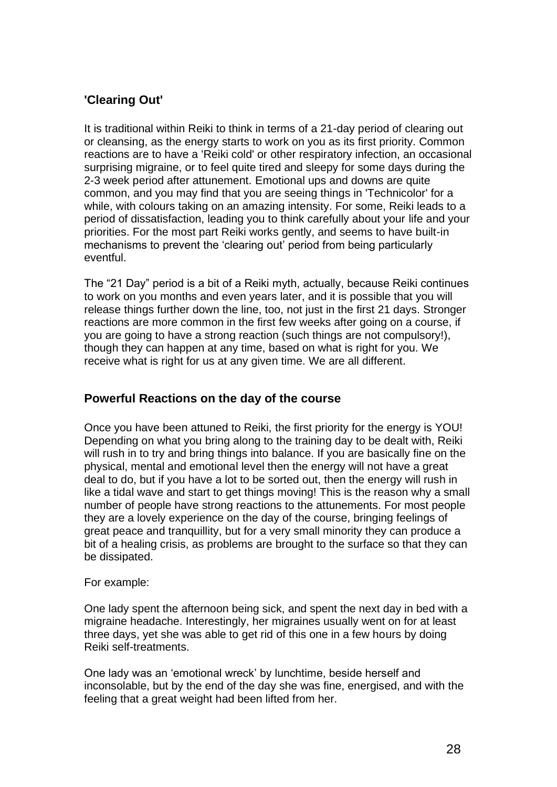### **'Clearing Out'**

It is traditional within Reiki to think in terms of a 21-day period of clearing out or cleansing, as the energy starts to work on you as its first priority. Common reactions are to have a 'Reiki cold' or other respiratory infection, an occasional surprising migraine, or to feel quite tired and sleepy for some days during the 2-3 week period after attunement. Emotional ups and downs are quite common, and you may find that you are seeing things in 'Technicolor' for a while, with colours taking on an amazing intensity. For some, Reiki leads to a period of dissatisfaction, leading you to think carefully about your life and your priorities. For the most part Reiki works gently, and seems to have built-in mechanisms to prevent the 'clearing out' period from being particularly eventful.

The "21 Day" period is a bit of a Reiki myth, actually, because Reiki continues to work on you months and even years later, and it is possible that you will release things further down the line, too, not just in the first 21 days. Stronger reactions are more common in the first few weeks after going on a course, if you are going to have a strong reaction (such things are not compulsory!), though they can happen at any time, based on what is right for you. We receive what is right for us at any given time. We are all different.

### **Powerful Reactions on the day of the course**

Once you have been attuned to Reiki, the first priority for the energy is YOU! Depending on what you bring along to the training day to be dealt with, Reiki will rush in to try and bring things into balance. If you are basically fine on the physical, mental and emotional level then the energy will not have a great deal to do, but if you have a lot to be sorted out, then the energy will rush in like a tidal wave and start to get things moving! This is the reason why a small number of people have strong reactions to the attunements. For most people they are a lovely experience on the day of the course, bringing feelings of great peace and tranquillity, but for a very small minority they can produce a bit of a healing crisis, as problems are brought to the surface so that they can be dissipated.

#### For example:

One lady spent the afternoon being sick, and spent the next day in bed with a migraine headache. Interestingly, her migraines usually went on for at least three days, yet she was able to get rid of this one in a few hours by doing Reiki self-treatments.

One lady was an 'emotional wreck' by lunchtime, beside herself and inconsolable, but by the end of the day she was fine, energised, and with the feeling that a great weight had been lifted from her.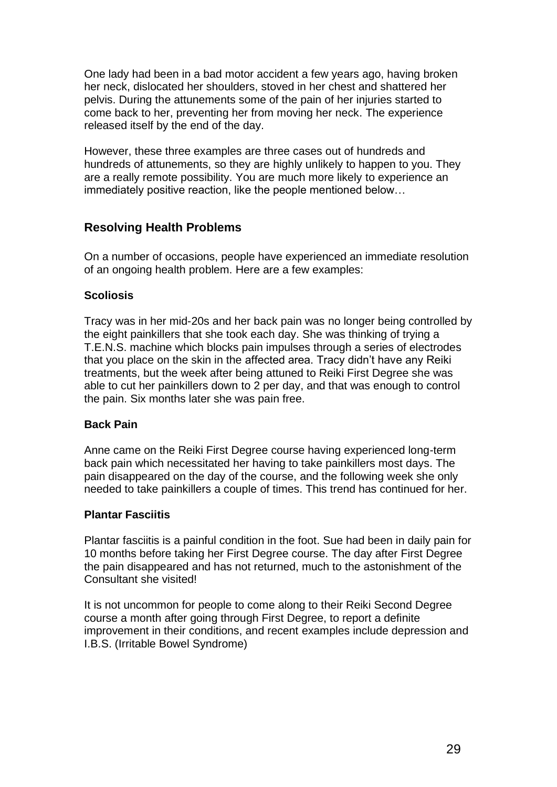One lady had been in a bad motor accident a few years ago, having broken her neck, dislocated her shoulders, stoved in her chest and shattered her pelvis. During the attunements some of the pain of her injuries started to come back to her, preventing her from moving her neck. The experience released itself by the end of the day.

However, these three examples are three cases out of hundreds and hundreds of attunements, so they are highly unlikely to happen to you. They are a really remote possibility. You are much more likely to experience an immediately positive reaction, like the people mentioned below…

### **Resolving Health Problems**

On a number of occasions, people have experienced an immediate resolution of an ongoing health problem. Here are a few examples:

### **Scoliosis**

Tracy was in her mid-20s and her back pain was no longer being controlled by the eight painkillers that she took each day. She was thinking of trying a T.E.N.S. machine which blocks pain impulses through a series of electrodes that you place on the skin in the affected area. Tracy didn't have any Reiki treatments, but the week after being attuned to Reiki First Degree she was able to cut her painkillers down to 2 per day, and that was enough to control the pain. Six months later she was pain free.

### **Back Pain**

Anne came on the Reiki First Degree course having experienced long-term back pain which necessitated her having to take painkillers most days. The pain disappeared on the day of the course, and the following week she only needed to take painkillers a couple of times. This trend has continued for her.

#### **Plantar Fasciitis**

Plantar fasciitis is a painful condition in the foot. Sue had been in daily pain for 10 months before taking her First Degree course. The day after First Degree the pain disappeared and has not returned, much to the astonishment of the Consultant she visited!

It is not uncommon for people to come along to their Reiki Second Degree course a month after going through First Degree, to report a definite improvement in their conditions, and recent examples include depression and I.B.S. (Irritable Bowel Syndrome)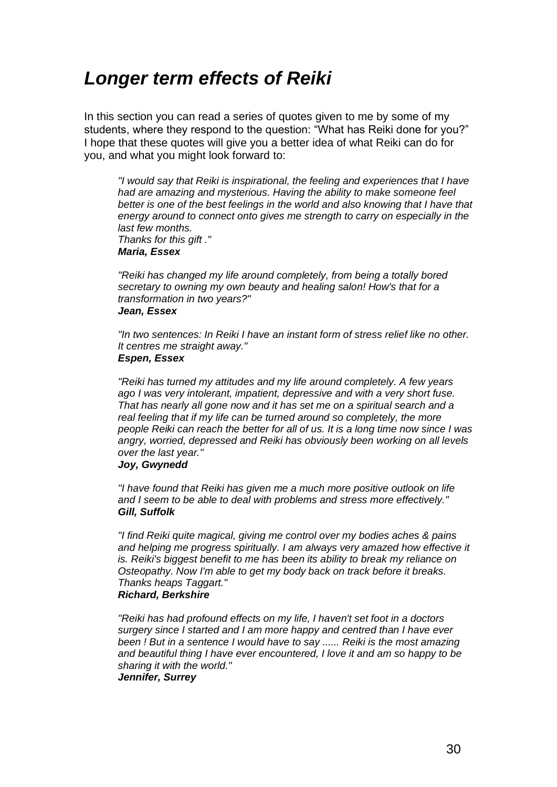### *Longer term effects of Reiki*

In this section you can read a series of quotes given to me by some of my students, where they respond to the question: "What has Reiki done for you?" I hope that these quotes will give you a better idea of what Reiki can do for you, and what you might look forward to:

*"I would say that Reiki is inspirational, the feeling and experiences that I have had are amazing and mysterious. Having the ability to make someone feel better is one of the best feelings in the world and also knowing that I have that energy around to connect onto gives me strength to carry on especially in the last few months. Thanks for this gift ."*

#### *Maria, Essex*

*"Reiki has changed my life around completely, from being a totally bored secretary to owning my own beauty and healing salon! How's that for a transformation in two years?" Jean, Essex*

*"In two sentences: In Reiki I have an instant form of stress relief like no other. It centres me straight away." Espen, Essex*

*"Reiki has turned my attitudes and my life around completely. A few years ago I was very intolerant, impatient, depressive and with a very short fuse. That has nearly all gone now and it has set me on a spiritual search and a*  real feeling that if my life can be turned around so completely, the more *people Reiki can reach the better for all of us. It is a long time now since I was angry, worried, depressed and Reiki has obviously been working on all levels over the last year."*

#### *Joy, Gwynedd*

*"I have found that Reiki has given me a much more positive outlook on life and I seem to be able to deal with problems and stress more effectively." Gill, Suffolk*

*"I find Reiki quite magical, giving me control over my bodies aches & pains*  and helping me progress spiritually. I am always very amazed how effective it *is. Reiki's biggest benefit to me has been its ability to break my reliance on Osteopathy. Now I'm able to get my body back on track before it breaks. Thanks heaps Taggart." Richard, Berkshire*

*"Reiki has had profound effects on my life, I haven't set foot in a doctors surgery since I started and I am more happy and centred than I have ever been ! But in a sentence I would have to say ...... Reiki is the most amazing and beautiful thing I have ever encountered, I love it and am so happy to be sharing it with the world."*

*Jennifer, Surrey*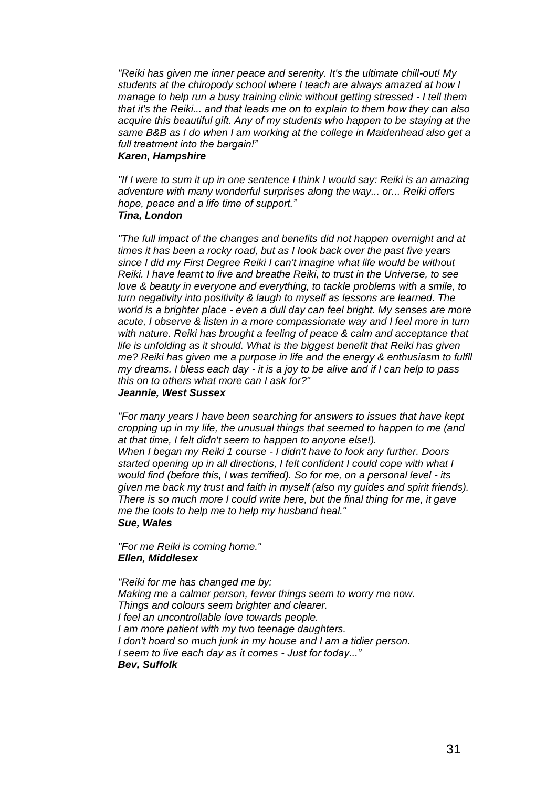*"Reiki has given me inner peace and serenity. It's the ultimate chill-out! My students at the chiropody school where I teach are always amazed at how I manage to help run a busy training clinic without getting stressed - I tell them that it's the Reiki... and that leads me on to explain to them how they can also acquire this beautiful gift. Any of my students who happen to be staying at the same B&B as I do when I am working at the college in Maidenhead also get a full treatment into the bargain!"*

#### *Karen, Hampshire*

*"If I were to sum it up in one sentence I think I would say: Reiki is an amazing adventure with many wonderful surprises along the way... or... Reiki offers hope, peace and a life time of support." Tina, London*

*"The full impact of the changes and benefits did not happen overnight and at times it has been a rocky road, but as I Iook back over the past five years since I did my First Degree Reiki I can't imagine what life would be without Reiki. I have learnt to live and breathe Reiki, to trust in the Universe, to see love & beauty in everyone and everything, to tackle problems with a smile, to turn negativity into positivity & laugh to myself as lessons are learned. The world is a brighter place - even a dull day can feel bright. My senses are more acute, I observe & listen in a more compassionate way and I feel more in turn with nature. Reiki has brought a feeling of peace & calm and acceptance that life is unfolding as it should. What is the biggest benefit that Reiki has given me? Reiki has given me a purpose in life and the energy & enthusiasm to fulfll my dreams. I bless each day - it is a joy to be alive and if I can help to pass this on to others what more can I ask for?" Jeannie, West Sussex*

*"For many years I have been searching for answers to issues that have kept cropping up in my life, the unusual things that seemed to happen to me (and at that time, I felt didn't seem to happen to anyone else!). When I began my Reiki 1 course - I didn't have to look any further. Doors started opening up in all directions, I felt confident I could cope with what I would find (before this, I was terrified). So for me, on a personal level - its given me back my trust and faith in myself (also my guides and spirit friends). There is so much more I could write here, but the final thing for me, it gave me the tools to help me to help my husband heal." Sue, Wales*

*"For me Reiki is coming home." Ellen, Middlesex*

*"Reiki for me has changed me by: Making me a calmer person, fewer things seem to worry me now. Things and colours seem brighter and clearer. I feel an uncontrollable love towards people. I am more patient with my two teenage daughters. I don't hoard so much junk in my house and I am a tidier person. I seem to live each day as it comes - Just for today..." Bev, Suffolk*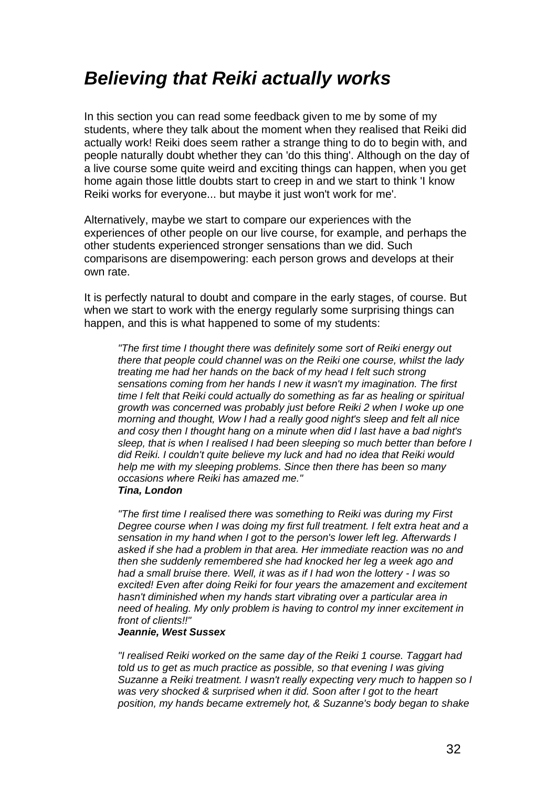### *Believing that Reiki actually works*

In this section you can read some feedback given to me by some of my students, where they talk about the moment when they realised that Reiki did actually work! Reiki does seem rather a strange thing to do to begin with, and people naturally doubt whether they can 'do this thing'. Although on the day of a live course some quite weird and exciting things can happen, when you get home again those little doubts start to creep in and we start to think 'I know Reiki works for everyone... but maybe it just won't work for me'.

Alternatively, maybe we start to compare our experiences with the experiences of other people on our live course, for example, and perhaps the other students experienced stronger sensations than we did. Such comparisons are disempowering: each person grows and develops at their own rate.

It is perfectly natural to doubt and compare in the early stages, of course. But when we start to work with the energy regularly some surprising things can happen, and this is what happened to some of my students:

*"The first time I thought there was definitely some sort of Reiki energy out there that people could channel was on the Reiki one course, whilst the lady treating me had her hands on the back of my head I felt such strong sensations coming from her hands I new it wasn't my imagination. The first time I felt that Reiki could actually do something as far as healing or spiritual growth was concerned was probably just before Reiki 2 when I woke up one morning and thought, Wow I had a really good night's sleep and felt all nice and cosy then I thought hang on a minute when did I last have a bad night's sleep, that is when I realised I had been sleeping so much better than before I did Reiki. I couldn't quite believe my luck and had no idea that Reiki would help me with my sleeping problems. Since then there has been so many occasions where Reiki has amazed me." Tina, London*

*"The first time I realised there was something to Reiki was during my First Degree course when I was doing my first full treatment. I felt extra heat and a sensation in my hand when I got to the person's lower left leg. Afterwards I asked if she had a problem in that area. Her immediate reaction was no and then she suddenly remembered she had knocked her leg a week ago and had a small bruise there. Well, it was as if I had won the lottery - I was so excited! Even after doing Reiki for four years the amazement and excitement hasn't diminished when my hands start vibrating over a particular area in need of healing. My only problem is having to control my inner excitement in front of clients!!"*

#### *Jeannie, West Sussex*

*"I realised Reiki worked on the same day of the Reiki 1 course. Taggart had*  told us to get as much practice as possible, so that evening I was giving *Suzanne a Reiki treatment. I wasn't really expecting very much to happen so I was very shocked & surprised when it did. Soon after I got to the heart position, my hands became extremely hot, & Suzanne's body began to shake*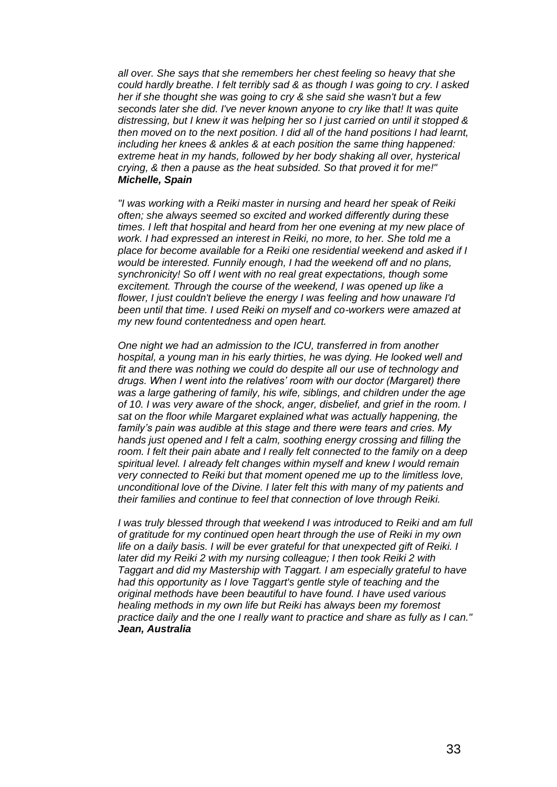*all over. She says that she remembers her chest feeling so heavy that she could hardly breathe. I felt terribly sad & as though I was going to cry. I asked her if she thought she was going to cry & she said she wasn't but a few seconds later she did. I've never known anyone to cry like that! It was quite distressing, but I knew it was helping her so I just carried on until it stopped & then moved on to the next position. I did all of the hand positions I had learnt, including her knees & ankles & at each position the same thing happened: extreme heat in my hands, followed by her body shaking all over, hysterical crying, & then a pause as the heat subsided. So that proved it for me!" Michelle, Spain*

*"I was working with a Reiki master in nursing and heard her speak of Reiki often; she always seemed so excited and worked differently during these times. I left that hospital and heard from her one evening at my new place of work. I had expressed an interest in Reiki, no more, to her. She told me a place for become available for a Reiki one residential weekend and asked if I would be interested. Funnily enough, I had the weekend off and no plans, synchronicity! So off I went with no real great expectations, though some*  excitement. Through the course of the weekend, I was opened up like a *flower, I just couldn't believe the energy I was feeling and how unaware I'd been until that time. I used Reiki on myself and co-workers were amazed at my new found contentedness and open heart.*

*One night we had an admission to the ICU, transferred in from another hospital, a young man in his early thirties, he was dying. He looked well and fit and there was nothing we could do despite all our use of technology and drugs. When I went into the relatives' room with our doctor (Margaret) there was a large gathering of family, his wife, siblings, and children under the age of 10. I was very aware of the shock, anger, disbelief, and grief in the room. I sat on the floor while Margaret explained what was actually happening, the family's pain was audible at this stage and there were tears and cries. My hands just opened and I felt a calm, soothing energy crossing and filling the room. I felt their pain abate and I really felt connected to the family on a deep spiritual level. I already felt changes within myself and knew I would remain very connected to Reiki but that moment opened me up to the limitless love, unconditional love of the Divine. I later felt this with many of my patients and their families and continue to feel that connection of love through Reiki.*

*I* was truly blessed through that weekend *I* was introduced to Reiki and am full *of gratitude for my continued open heart through the use of Reiki in my own life on a daily basis. I will be ever grateful for that unexpected gift of Reiki. I*  later did my Reiki 2 with my nursing colleague; I then took Reiki 2 with *Taggart and did my Mastership with Taggart. I am especially grateful to have had this opportunity as I love Taggart's gentle style of teaching and the original methods have been beautiful to have found. I have used various healing methods in my own life but Reiki has always been my foremost practice daily and the one I really want to practice and share as fully as I can." Jean, Australia*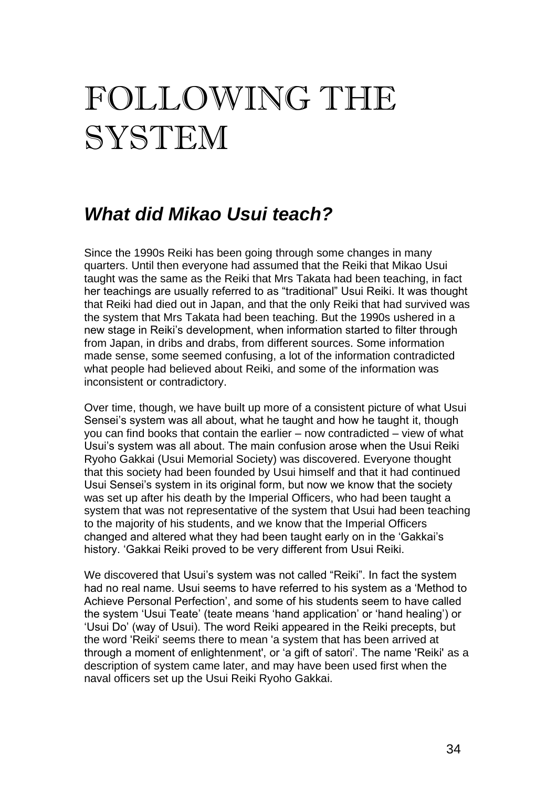# FOLLOWING THE SYSTEM

### *What did Mikao Usui teach?*

Since the 1990s Reiki has been going through some changes in many quarters. Until then everyone had assumed that the Reiki that Mikao Usui taught was the same as the Reiki that Mrs Takata had been teaching, in fact her teachings are usually referred to as "traditional" Usui Reiki. It was thought that Reiki had died out in Japan, and that the only Reiki that had survived was the system that Mrs Takata had been teaching. But the 1990s ushered in a new stage in Reiki's development, when information started to filter through from Japan, in dribs and drabs, from different sources. Some information made sense, some seemed confusing, a lot of the information contradicted what people had believed about Reiki, and some of the information was inconsistent or contradictory.

Over time, though, we have built up more of a consistent picture of what Usui Sensei's system was all about, what he taught and how he taught it, though you can find books that contain the earlier – now contradicted – view of what Usui's system was all about. The main confusion arose when the Usui Reiki Ryoho Gakkai (Usui Memorial Society) was discovered. Everyone thought that this society had been founded by Usui himself and that it had continued Usui Sensei's system in its original form, but now we know that the society was set up after his death by the Imperial Officers, who had been taught a system that was not representative of the system that Usui had been teaching to the majority of his students, and we know that the Imperial Officers changed and altered what they had been taught early on in the 'Gakkai's history. 'Gakkai Reiki proved to be very different from Usui Reiki.

We discovered that Usui's system was not called "Reiki". In fact the system had no real name. Usui seems to have referred to his system as a 'Method to Achieve Personal Perfection', and some of his students seem to have called the system 'Usui Teate' (teate means 'hand application' or 'hand healing') or 'Usui Do' (way of Usui). The word Reiki appeared in the Reiki precepts, but the word 'Reiki' seems there to mean 'a system that has been arrived at through a moment of enlightenment', or 'a gift of satori'. The name 'Reiki' as a description of system came later, and may have been used first when the naval officers set up the Usui Reiki Ryoho Gakkai.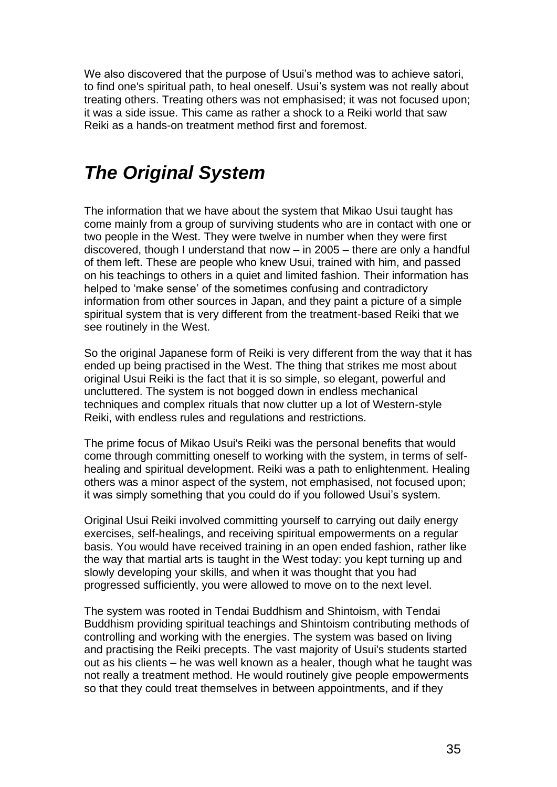We also discovered that the purpose of Usui's method was to achieve satori, to find one's spiritual path, to heal oneself. Usui's system was not really about treating others. Treating others was not emphasised; it was not focused upon; it was a side issue. This came as rather a shock to a Reiki world that saw Reiki as a hands-on treatment method first and foremost.

### *The Original System*

The information that we have about the system that Mikao Usui taught has come mainly from a group of surviving students who are in contact with one or two people in the West. They were twelve in number when they were first discovered, though I understand that now – in 2005 – there are only a handful of them left. These are people who knew Usui, trained with him, and passed on his teachings to others in a quiet and limited fashion. Their information has helped to 'make sense' of the sometimes confusing and contradictory information from other sources in Japan, and they paint a picture of a simple spiritual system that is very different from the treatment-based Reiki that we see routinely in the West.

So the original Japanese form of Reiki is very different from the way that it has ended up being practised in the West. The thing that strikes me most about original Usui Reiki is the fact that it is so simple, so elegant, powerful and uncluttered. The system is not bogged down in endless mechanical techniques and complex rituals that now clutter up a lot of Western-style Reiki, with endless rules and regulations and restrictions.

The prime focus of Mikao Usui's Reiki was the personal benefits that would come through committing oneself to working with the system, in terms of selfhealing and spiritual development. Reiki was a path to enlightenment. Healing others was a minor aspect of the system, not emphasised, not focused upon; it was simply something that you could do if you followed Usui's system.

Original Usui Reiki involved committing yourself to carrying out daily energy exercises, self-healings, and receiving spiritual empowerments on a regular basis. You would have received training in an open ended fashion, rather like the way that martial arts is taught in the West today: you kept turning up and slowly developing your skills, and when it was thought that you had progressed sufficiently, you were allowed to move on to the next level.

The system was rooted in Tendai Buddhism and Shintoism, with Tendai Buddhism providing spiritual teachings and Shintoism contributing methods of controlling and working with the energies. The system was based on living and practising the Reiki precepts. The vast majority of Usui's students started out as his clients – he was well known as a healer, though what he taught was not really a treatment method. He would routinely give people empowerments so that they could treat themselves in between appointments, and if they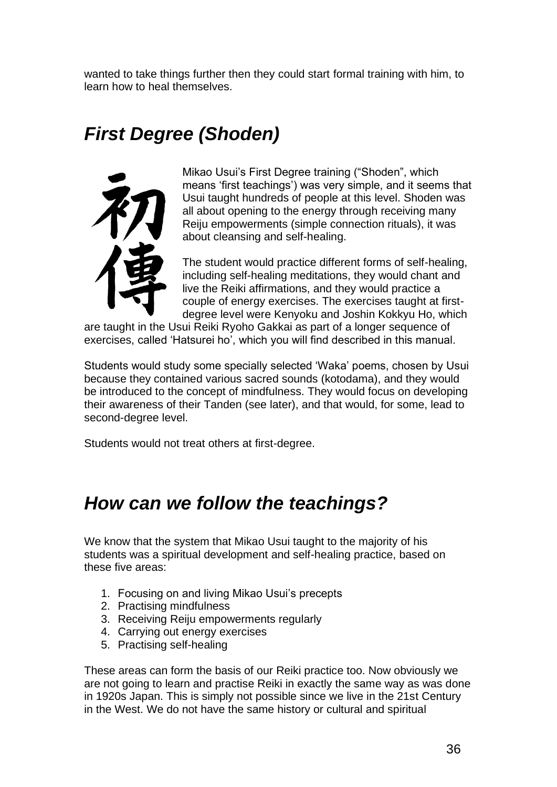wanted to take things further then they could start formal training with him, to learn how to heal themselves.

## *First Degree (Shoden)*



Mikao Usui's First Degree training ("Shoden", which means 'first teachings') was very simple, and it seems that Usui taught hundreds of people at this level. Shoden was all about opening to the energy through receiving many Reiju empowerments (simple connection rituals), it was about cleansing and self-healing.

The student would practice different forms of self-healing, including self-healing meditations, they would chant and live the Reiki affirmations, and they would practice a couple of energy exercises. The exercises taught at firstdegree level were Kenyoku and Joshin Kokkyu Ho, which

are taught in the Usui Reiki Ryoho Gakkai as part of a longer sequence of exercises, called 'Hatsurei ho', which you will find described in this manual.

Students would study some specially selected 'Waka' poems, chosen by Usui because they contained various sacred sounds (kotodama), and they would be introduced to the concept of mindfulness. They would focus on developing their awareness of their Tanden (see later), and that would, for some, lead to second-degree level.

Students would not treat others at first-degree.

### *How can we follow the teachings?*

We know that the system that Mikao Usui taught to the majority of his students was a spiritual development and self-healing practice, based on these five areas:

- 1. Focusing on and living Mikao Usui's precepts
- 2. Practising mindfulness
- 3. Receiving Reiju empowerments regularly
- 4. Carrying out energy exercises
- 5. Practising self-healing

These areas can form the basis of our Reiki practice too. Now obviously we are not going to learn and practise Reiki in exactly the same way as was done in 1920s Japan. This is simply not possible since we live in the 21st Century in the West. We do not have the same history or cultural and spiritual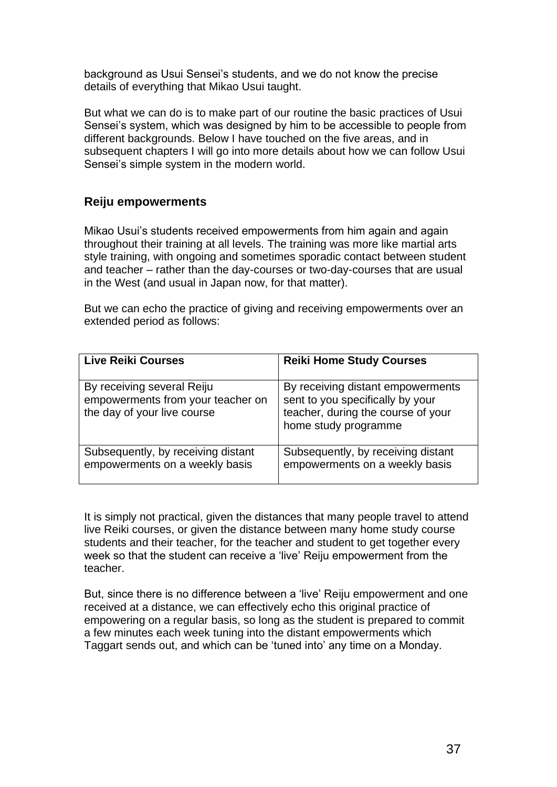background as Usui Sensei's students, and we do not know the precise details of everything that Mikao Usui taught.

But what we can do is to make part of our routine the basic practices of Usui Sensei's system, which was designed by him to be accessible to people from different backgrounds. Below I have touched on the five areas, and in subsequent chapters I will go into more details about how we can follow Usui Sensei's simple system in the modern world.

### **Reiju empowerments**

Mikao Usui's students received empowerments from him again and again throughout their training at all levels. The training was more like martial arts style training, with ongoing and sometimes sporadic contact between student and teacher – rather than the day-courses or two-day-courses that are usual in the West (and usual in Japan now, for that matter).

But we can echo the practice of giving and receiving empowerments over an extended period as follows:

| <b>Live Reiki Courses</b>                                                                      | <b>Reiki Home Study Courses</b>                                                                                                     |
|------------------------------------------------------------------------------------------------|-------------------------------------------------------------------------------------------------------------------------------------|
| By receiving several Reiju<br>empowerments from your teacher on<br>the day of your live course | By receiving distant empowerments<br>sent to you specifically by your<br>teacher, during the course of your<br>home study programme |
| Subsequently, by receiving distant<br>empowerments on a weekly basis                           | Subsequently, by receiving distant<br>empowerments on a weekly basis                                                                |

It is simply not practical, given the distances that many people travel to attend live Reiki courses, or given the distance between many home study course students and their teacher, for the teacher and student to get together every week so that the student can receive a 'live' Reiju empowerment from the teacher.

But, since there is no difference between a 'live' Reiju empowerment and one received at a distance, we can effectively echo this original practice of empowering on a regular basis, so long as the student is prepared to commit a few minutes each week tuning into the distant empowerments which Taggart sends out, and which can be 'tuned into' any time on a Monday.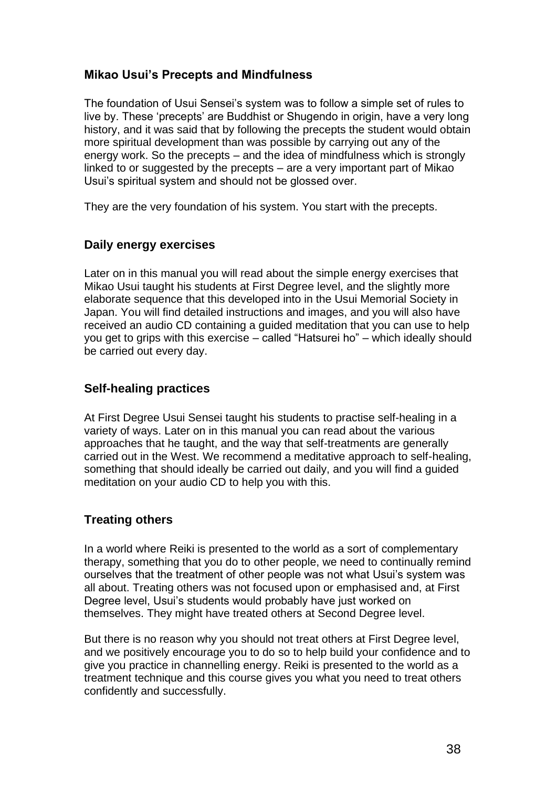### **Mikao Usui's Precepts and Mindfulness**

The foundation of Usui Sensei's system was to follow a simple set of rules to live by. These 'precepts' are Buddhist or Shugendo in origin, have a very long history, and it was said that by following the precepts the student would obtain more spiritual development than was possible by carrying out any of the energy work. So the precepts – and the idea of mindfulness which is strongly linked to or suggested by the precepts – are a very important part of Mikao Usui's spiritual system and should not be glossed over.

They are the very foundation of his system. You start with the precepts.

### **Daily energy exercises**

Later on in this manual you will read about the simple energy exercises that Mikao Usui taught his students at First Degree level, and the slightly more elaborate sequence that this developed into in the Usui Memorial Society in Japan. You will find detailed instructions and images, and you will also have received an audio CD containing a guided meditation that you can use to help you get to grips with this exercise – called "Hatsurei ho" – which ideally should be carried out every day.

### **Self-healing practices**

At First Degree Usui Sensei taught his students to practise self-healing in a variety of ways. Later on in this manual you can read about the various approaches that he taught, and the way that self-treatments are generally carried out in the West. We recommend a meditative approach to self-healing, something that should ideally be carried out daily, and you will find a guided meditation on your audio CD to help you with this.

### **Treating others**

In a world where Reiki is presented to the world as a sort of complementary therapy, something that you do to other people, we need to continually remind ourselves that the treatment of other people was not what Usui's system was all about. Treating others was not focused upon or emphasised and, at First Degree level, Usui's students would probably have just worked on themselves. They might have treated others at Second Degree level.

But there is no reason why you should not treat others at First Degree level, and we positively encourage you to do so to help build your confidence and to give you practice in channelling energy. Reiki is presented to the world as a treatment technique and this course gives you what you need to treat others confidently and successfully.